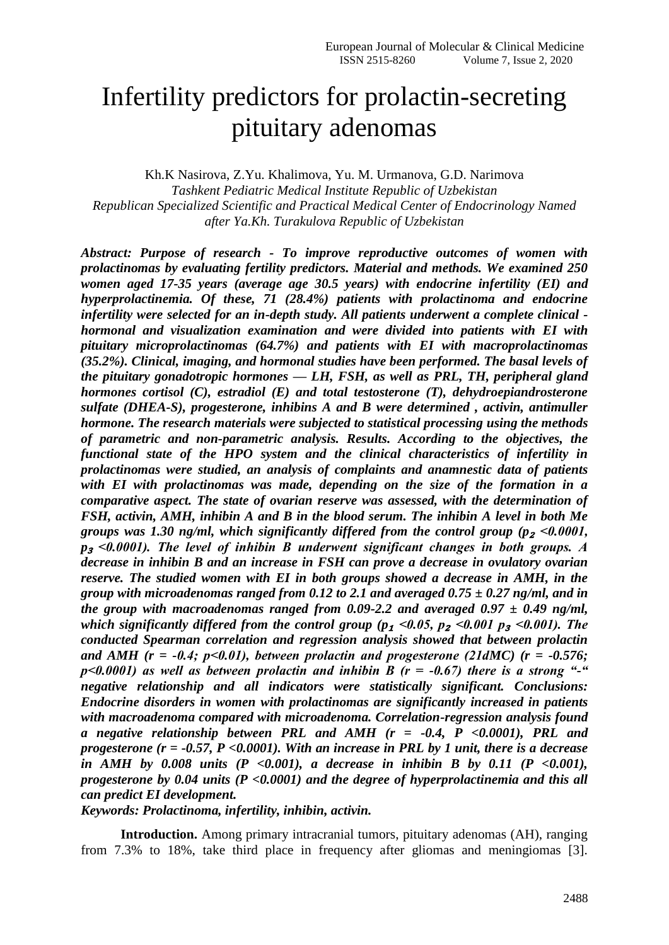# Infertility predictors for prolactin-secreting pituitary adenomas

Kh.K Nasirova, Z.Yu. Khalimova, Yu. M. Urmanova, G.D. Narimova *Tashkent Pediatric Medical Institute Republic of Uzbekistan Republican Specialized Scientific and Practical Medical Center of Endocrinology Named after Ya.Kh. Turakulova Republic of Uzbekistan*

*Abstract: Purpose of research - To improve reproductive outcomes of women with prolactinomas by evaluating fertility predictors. Material and methods. We examined 250 women aged 17-35 years (average age 30.5 years) with endocrine infertility (EI) and hyperprolactinemia. Of these, 71 (28.4%) patients with prolactinoma and endocrine infertility were selected for an in-depth study. All patients underwent a complete clinical hormonal and visualization examination and were divided into patients with EI with pituitary microprolactinomas (64.7%) and patients with EI with macroprolactinomas (35.2%). Clinical, imaging, and hormonal studies have been performed. The basal levels of the pituitary gonadotropic hormones — LH, FSH, as well as PRL, TH, peripheral gland hormones cortisol (C), estradiol (E) and total testosterone (T), dehydroepiandrosterone sulfate (DHEA-S), progesterone, inhibins A and B were determined , activin, antimuller hormone. The research materials were subjected to statistical processing using the methods of parametric and non-parametric analysis. Results. According to the objectives, the functional state of the HPO system and the clinical characteristics of infertility in prolactinomas were studied, an analysis of complaints and anamnestic data of patients with EI with prolactinomas was made, depending on the size of the formation in a comparative aspect. The state of ovarian reserve was assessed, with the determination of FSH, activin, AMH, inhibin A and B in the blood serum. The inhibin A level in both Me groups was 1.30 ng/ml, which significantly differed from the control group (p<sub>2</sub> <0.0001, p*<sup>₃</sup> *˂0.0001). The level of inhibin B underwent significant changes in both groups. A decrease in inhibin B and an increase in FSH can prove a decrease in ovulatory ovarian reserve. The studied women with EI in both groups showed a decrease in AMH, in the group with microadenomas ranged from 0.12 to 2.1 and averaged 0.75 ± 0.27 ng/ml, and in the group with macroadenomas ranged from 0.09-2.2 and averaged 0.97*  $\pm$  *0.49 ng/ml, which significantly differed from the control group (p*<sup>1</sup>  $\lt 0.05$ , p<sup>2</sup>  $\lt 0.001$  p<sub>3</sub>  $\lt 0.001$ ). The *conducted Spearman correlation and regression analysis showed that between prolactin*  and AMH ( $r = -0.4$ ;  $p < 0.01$ ), between prolactin and progesterone (21dMC) ( $r = -0.576$ ;  $p<0.0001$ ) as well as between prolactin and inhibin B ( $r = -0.67$ ) there is a strong "-" *negative relationship and all indicators were statistically significant. Conclusions: Endocrine disorders in women with prolactinomas are significantly increased in patients with macroadenoma compared with microadenoma. Correlation-regression analysis found a negative relationship between PRL and AMH (r = -0.4, P <0.0001), PRL and progesterone (r = -0.57, P <0.0001). With an increase in PRL by 1 unit, there is a decrease*  in AMH by 0.008 units  $(P \le 0.001)$ , a decrease in inhibin B by 0.11  $(P \le 0.001)$ , *progesterone by 0.04 units (P <0.0001) and the degree of hyperprolactinemia and this all can predict EI development.*

*Keywords: Prolactinoma, infertility, inhibin, activin.*

**Introduction.** Among primary intracranial tumors, pituitary adenomas (AH), ranging from 7.3% to 18%, take third place in frequency after gliomas and meningiomas [3].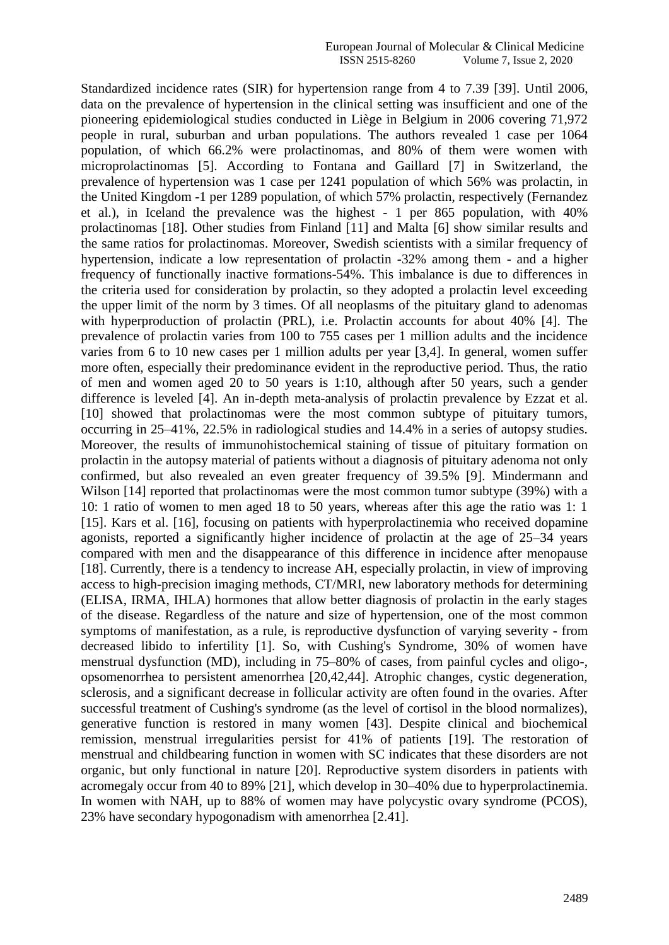Standardized incidence rates (SIR) for hypertension range from 4 to 7.39 [39]. Until 2006, data on the prevalence of hypertension in the clinical setting was insufficient and one of the pioneering epidemiological studies conducted in Liège in Belgium in 2006 covering 71,972 people in rural, suburban and urban populations. The authors revealed 1 case per 1064 population, of which 66.2% were prolactinomas, and 80% of them were women with microprolactinomas [5]. According to Fontana and Gaillard [7] in Switzerland, the prevalence of hypertension was 1 case per 1241 population of which 56% was prolactin, in the United Kingdom -1 per 1289 population, of which 57% prolactin, respectively (Fernandez et al.), in Iceland the prevalence was the highest - 1 per 865 population, with 40% prolactinomas [18]. Other studies from Finland [11] and Malta [6] show similar results and the same ratios for prolactinomas. Moreover, Swedish scientists with a similar frequency of hypertension, indicate a low representation of prolactin -32% among them - and a higher frequency of functionally inactive formations-54%. This imbalance is due to differences in the criteria used for consideration by prolactin, so they adopted a prolactin level exceeding the upper limit of the norm by 3 times. Of all neoplasms of the pituitary gland to adenomas with hyperproduction of prolactin (PRL), i.e. Prolactin accounts for about 40% [4]. The prevalence of prolactin varies from 100 to 755 cases per 1 million adults and the incidence varies from 6 to 10 new cases per 1 million adults per year [3,4]. In general, women suffer more often, especially their predominance evident in the reproductive period. Thus, the ratio of men and women aged 20 to 50 years is 1:10, although after 50 years, such a gender difference is leveled [4]. An in-depth meta-analysis of prolactin prevalence by Ezzat et al. [10] showed that prolactinomas were the most common subtype of pituitary tumors, occurring in 25–41%, 22.5% in radiological studies and 14.4% in a series of autopsy studies. Moreover, the results of immunohistochemical staining of tissue of pituitary formation on prolactin in the autopsy material of patients without a diagnosis of pituitary adenoma not only confirmed, but also revealed an even greater frequency of 39.5% [9]. Mindermann and Wilson [14] reported that prolactinomas were the most common tumor subtype (39%) with a 10: 1 ratio of women to men aged 18 to 50 years, whereas after this age the ratio was 1: 1 [15]. Kars et al. [16], focusing on patients with hyperprolactinemia who received dopamine agonists, reported a significantly higher incidence of prolactin at the age of 25–34 years compared with men and the disappearance of this difference in incidence after menopause [18]. Currently, there is a tendency to increase AH, especially prolactin, in view of improving access to high-precision imaging methods, CT/MRI, new laboratory methods for determining (ELISA, IRMA, IHLA) hormones that allow better diagnosis of prolactin in the early stages of the disease. Regardless of the nature and size of hypertension, one of the most common symptoms of manifestation, as a rule, is reproductive dysfunction of varying severity - from decreased libido to infertility [1]. So, with Cushing's Syndrome, 30% of women have menstrual dysfunction (MD), including in 75–80% of cases, from painful cycles and oligo-, opsomenorrhea to persistent amenorrhea [20,42,44]. Atrophic changes, cystic degeneration, sclerosis, and a significant decrease in follicular activity are often found in the ovaries. After successful treatment of Cushing's syndrome (as the level of cortisol in the blood normalizes), generative function is restored in many women [43]. Despite clinical and biochemical remission, menstrual irregularities persist for 41% of patients [19]. The restoration of menstrual and childbearing function in women with SC indicates that these disorders are not organic, but only functional in nature [20]. Reproductive system disorders in patients with acromegaly occur from 40 to 89% [21], which develop in 30–40% due to hyperprolactinemia. In women with NAH, up to 88% of women may have polycystic ovary syndrome (PCOS), 23% have secondary hypogonadism with amenorrhea [2.41].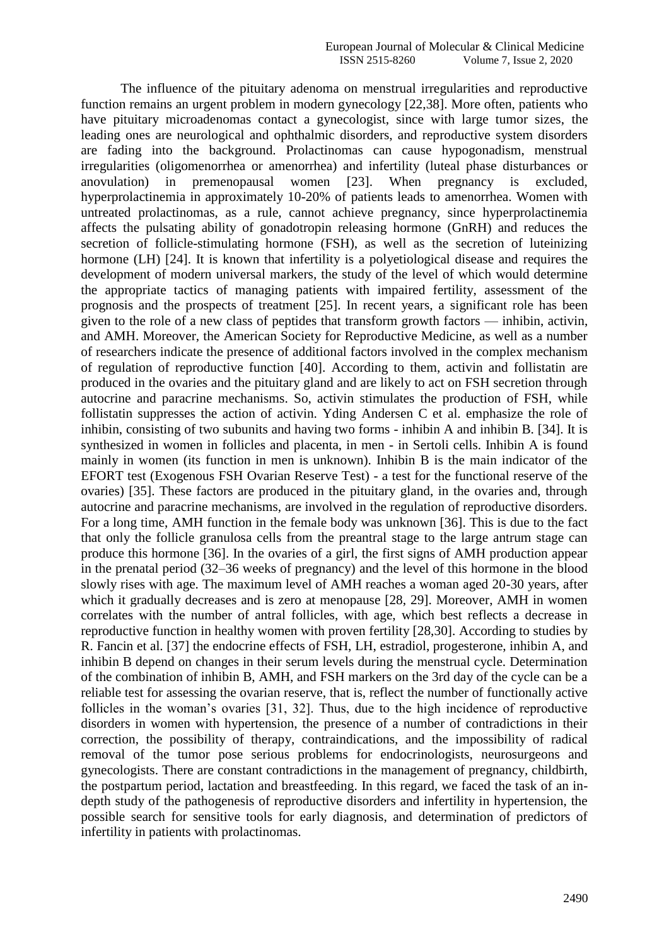The influence of the pituitary adenoma on menstrual irregularities and reproductive function remains an urgent problem in modern gynecology [22,38]. More often, patients who have pituitary microadenomas contact a gynecologist, since with large tumor sizes, the leading ones are neurological and ophthalmic disorders, and reproductive system disorders are fading into the background. Prolactinomas can cause hypogonadism, menstrual irregularities (oligomenorrhea or amenorrhea) and infertility (luteal phase disturbances or anovulation) in premenopausal women [23]. When pregnancy is excluded, hyperprolactinemia in approximately 10-20% of patients leads to amenorrhea. Women with untreated prolactinomas, as a rule, cannot achieve pregnancy, since hyperprolactinemia affects the pulsating ability of gonadotropin releasing hormone (GnRH) and reduces the secretion of follicle-stimulating hormone (FSH), as well as the secretion of luteinizing hormone (LH) [24]. It is known that infertility is a polyetiological disease and requires the development of modern universal markers, the study of the level of which would determine the appropriate tactics of managing patients with impaired fertility, assessment of the prognosis and the prospects of treatment [25]. In recent years, a significant role has been given to the role of a new class of peptides that transform growth factors — inhibin, activin, and AMH. Moreover, the American Society for Reproductive Medicine, as well as a number of researchers indicate the presence of additional factors involved in the complex mechanism of regulation of reproductive function [40]. According to them, activin and follistatin are produced in the ovaries and the pituitary gland and are likely to act on FSH secretion through autocrine and paracrine mechanisms. So, activin stimulates the production of FSH, while follistatin suppresses the action of activin. Yding Andersen C et al. emphasize the role of inhibin, consisting of two subunits and having two forms - inhibin A and inhibin B. [34]. It is synthesized in women in follicles and placenta, in men - in Sertoli cells. Inhibin A is found mainly in women (its function in men is unknown). Inhibin B is the main indicator of the EFORT test (Exogenous FSH Ovarian Reserve Test) - a test for the functional reserve of the ovaries) [35]. These factors are produced in the pituitary gland, in the ovaries and, through autocrine and paracrine mechanisms, are involved in the regulation of reproductive disorders. For a long time, AMH function in the female body was unknown [36]. This is due to the fact that only the follicle granulosa cells from the preantral stage to the large antrum stage can produce this hormone [36]. In the ovaries of a girl, the first signs of AMH production appear in the prenatal period (32–36 weeks of pregnancy) and the level of this hormone in the blood slowly rises with age. The maximum level of AMH reaches a woman aged 20-30 years, after which it gradually decreases and is zero at menopause [28, 29]. Moreover, AMH in women correlates with the number of antral follicles, with age, which best reflects a decrease in reproductive function in healthy women with proven fertility [28,30]. According to studies by R. Fancin et al. [37] the endocrine effects of FSH, LH, estradiol, progesterone, inhibin A, and inhibin B depend on changes in their serum levels during the menstrual cycle. Determination of the combination of inhibin B, AMH, and FSH markers on the 3rd day of the cycle can be a reliable test for assessing the ovarian reserve, that is, reflect the number of functionally active follicles in the woman's ovaries [31, 32]. Thus, due to the high incidence of reproductive disorders in women with hypertension, the presence of a number of contradictions in their correction, the possibility of therapy, contraindications, and the impossibility of radical removal of the tumor pose serious problems for endocrinologists, neurosurgeons and gynecologists. There are constant contradictions in the management of pregnancy, childbirth, the postpartum period, lactation and breastfeeding. In this regard, we faced the task of an indepth study of the pathogenesis of reproductive disorders and infertility in hypertension, the possible search for sensitive tools for early diagnosis, and determination of predictors of infertility in patients with prolactinomas.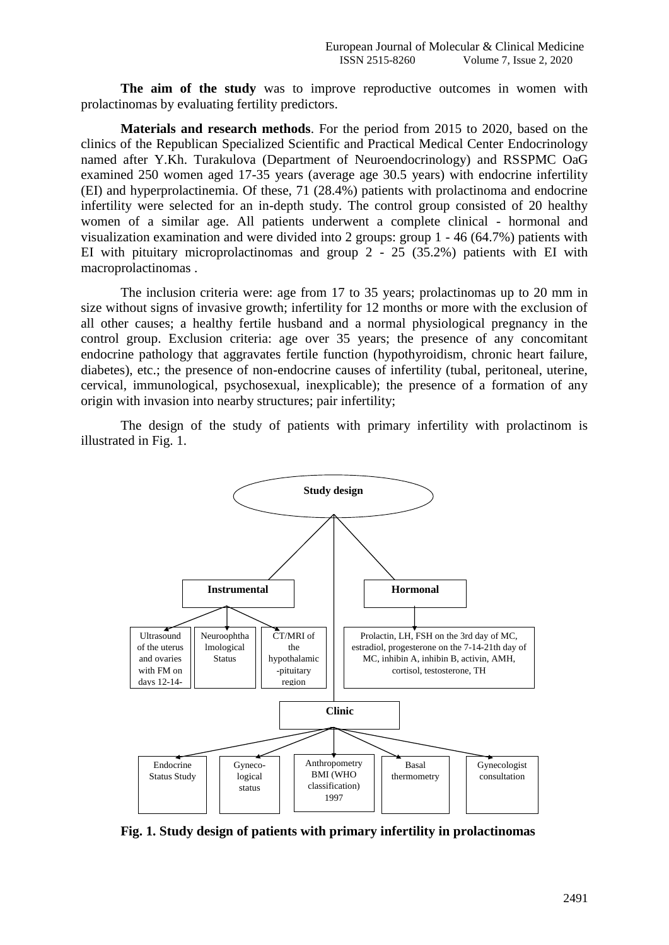**The aim of the study** was to improve reproductive outcomes in women with prolactinomas by evaluating fertility predictors.

**Materials and research methods**. For the period from 2015 to 2020, based on the clinics of the Republican Specialized Scientific and Practical Medical Center Endocrinology named after Y.Kh. Turakulova (Department of Neuroendocrinology) and RSSPMC OaG examined 250 women aged 17-35 years (average age 30.5 years) with endocrine infertility (EI) and hyperprolactinemia. Of these, 71 (28.4%) patients with prolactinoma and endocrine infertility were selected for an in-depth study. The control group consisted of 20 healthy women of a similar age. All patients underwent a complete clinical - hormonal and visualization examination and were divided into 2 groups: group 1 - 46 (64.7%) patients with EI with pituitary microprolactinomas and group 2 - 25 (35.2%) patients with EI with macroprolactinomas .

The inclusion criteria were: age from 17 to 35 years; prolactinomas up to 20 mm in size without signs of invasive growth; infertility for 12 months or more with the exclusion of all other causes; a healthy fertile husband and a normal physiological pregnancy in the control group. Exclusion criteria: age over 35 years; the presence of any concomitant endocrine pathology that aggravates fertile function (hypothyroidism, chronic heart failure, diabetes), etc.; the presence of non-endocrine causes of infertility (tubal, peritoneal, uterine, cervical, immunological, psychosexual, inexplicable); the presence of a formation of any origin with invasion into nearby structures; pair infertility;

The design of the study of patients with primary infertility with prolactinom is illustrated in Fig. 1.



**Fig. 1. Study design of patients with primary infertility in prolactinomas**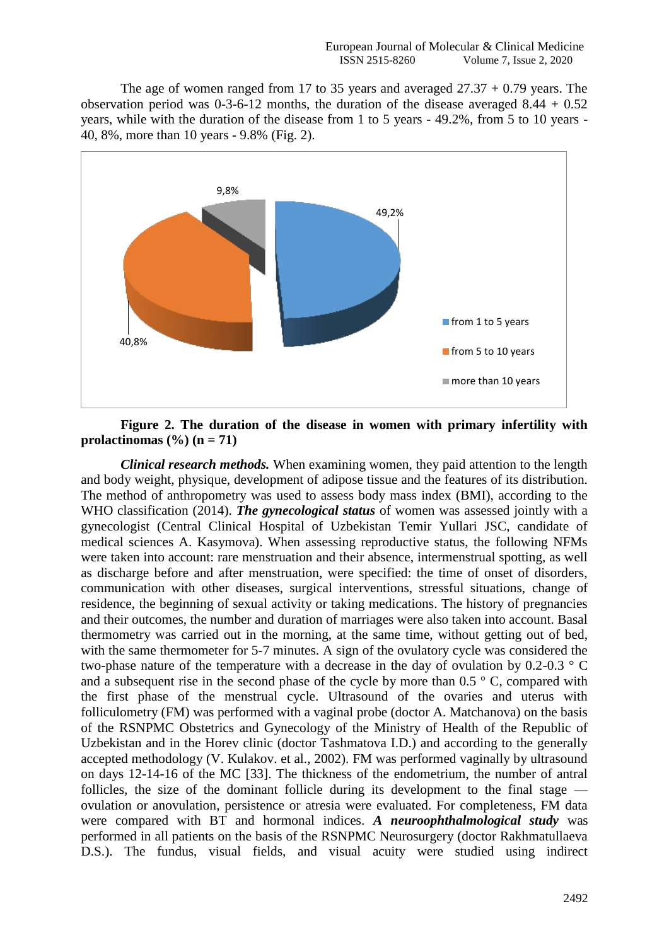The age of women ranged from 17 to 35 years and averaged  $27.37 + 0.79$  years. The observation period was  $0-3-6-12$  months, the duration of the disease averaged  $8.44 + 0.52$ years, while with the duration of the disease from 1 to 5 years - 49.2%, from 5 to 10 years - 40, 8%, more than 10 years - 9.8% (Fig. 2).



## **Figure 2. The duration of the disease in women with primary infertility with prolactinomas**  $(\frac{6}{6})$  (**n** = 71)

*Clinical research methods.* When examining women, they paid attention to the length and body weight, physique, development of adipose tissue and the features of its distribution. The method of anthropometry was used to assess body mass index (BMI), according to the WHO classification (2014). *The gynecological status* of women was assessed jointly with a gynecologist (Central Clinical Hospital of Uzbekistan Temir Yullari JSC, candidate of medical sciences A. Kasymova). When assessing reproductive status, the following NFMs were taken into account: rare menstruation and their absence, intermenstrual spotting, as well as discharge before and after menstruation, were specified: the time of onset of disorders, communication with other diseases, surgical interventions, stressful situations, change of residence, the beginning of sexual activity or taking medications. The history of pregnancies and their outcomes, the number and duration of marriages were also taken into account. Basal thermometry was carried out in the morning, at the same time, without getting out of bed, with the same thermometer for 5-7 minutes. A sign of the ovulatory cycle was considered the two-phase nature of the temperature with a decrease in the day of ovulation by 0.2-0.3 ° C and a subsequent rise in the second phase of the cycle by more than  $0.5 \degree$  C, compared with the first phase of the menstrual cycle. Ultrasound of the ovaries and uterus with folliculometry (FM) was performed with a vaginal probe (doctor A. Matchanova) on the basis of the RSNPMC Obstetrics and Gynecology of the Ministry of Health of the Republic of Uzbekistan and in the Horev clinic (doctor Tashmatova I.D.) and according to the generally accepted methodology (V. Kulakov. et al., 2002). FM was performed vaginally by ultrasound on days 12-14-16 of the MC [33]. The thickness of the endometrium, the number of antral follicles, the size of the dominant follicle during its development to the final stage ovulation or anovulation, persistence or atresia were evaluated. For completeness, FM data were compared with BT and hormonal indices. *A neuroophthalmological study* was performed in all patients on the basis of the RSNPMC Neurosurgery (doctor Rakhmatullaeva D.S.). The fundus, visual fields, and visual acuity were studied using indirect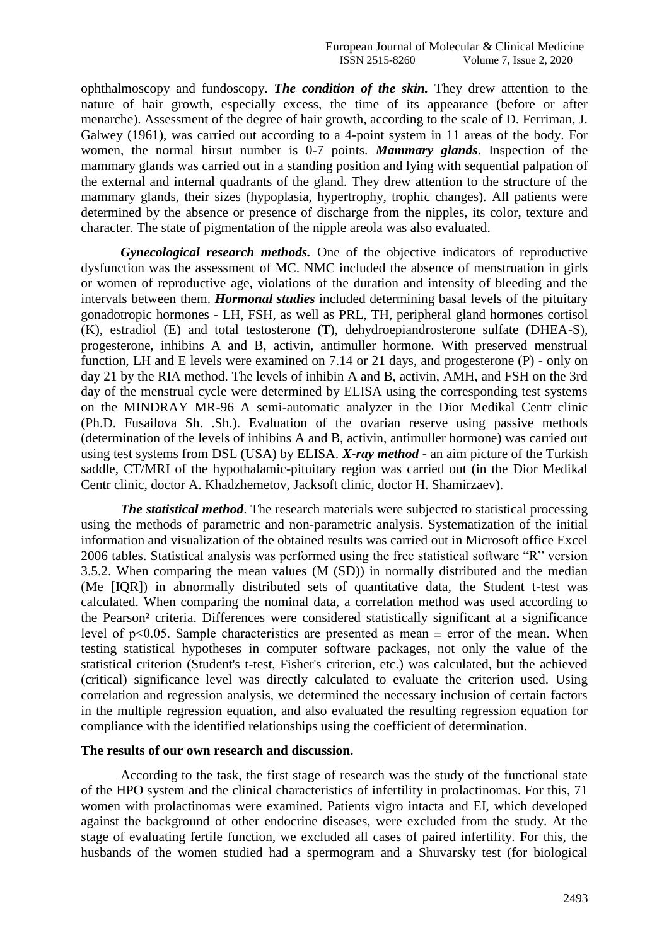ophthalmoscopy and fundoscopy. *The condition of the skin.* They drew attention to the nature of hair growth, especially excess, the time of its appearance (before or after menarche). Assessment of the degree of hair growth, according to the scale of D. Ferriman, J. Galwey (1961), was carried out according to a 4-point system in 11 areas of the body. For women, the normal hirsut number is 0-7 points. *Mammary glands*. Inspection of the mammary glands was carried out in a standing position and lying with sequential palpation of the external and internal quadrants of the gland. They drew attention to the structure of the mammary glands, their sizes (hypoplasia, hypertrophy, trophic changes). All patients were determined by the absence or presence of discharge from the nipples, its color, texture and character. The state of pigmentation of the nipple areola was also evaluated.

*Gynecological research methods.* One of the objective indicators of reproductive dysfunction was the assessment of MC. NMC included the absence of menstruation in girls or women of reproductive age, violations of the duration and intensity of bleeding and the intervals between them. *Hormonal studies* included determining basal levels of the pituitary gonadotropic hormones - LH, FSH, as well as PRL, TH, peripheral gland hormones cortisol (K), estradiol (E) and total testosterone (T), dehydroepiandrosterone sulfate (DHEA-S), progesterone, inhibins A and B, activin, antimuller hormone. With preserved menstrual function, LH and E levels were examined on 7.14 or 21 days, and progesterone (P) - only on day 21 by the RIA method. The levels of inhibin A and B, activin, AMH, and FSH on the 3rd day of the menstrual cycle were determined by ELISA using the corresponding test systems on the MINDRAY MR-96 A semi-automatic analyzer in the Dior Medikal Centr clinic (Ph.D. Fusailova Sh. .Sh.). Evaluation of the ovarian reserve using passive methods (determination of the levels of inhibins A and B, activin, antimuller hormone) was carried out using test systems from DSL (USA) by ELISA. *X-ray method* - an aim picture of the Turkish saddle, CT/MRI of the hypothalamic-pituitary region was carried out (in the Dior Medikal Centr clinic, doctor A. Khadzhemetov, Jacksoft clinic, doctor H. Shamirzaev).

*The statistical method.* The research materials were subjected to statistical processing using the methods of parametric and non-parametric analysis. Systematization of the initial information and visualization of the obtained results was carried out in Microsoft office Excel 2006 tables. Statistical analysis was performed using the free statistical software "R" version 3.5.2. When comparing the mean values (M (SD)) in normally distributed and the median (Me [IQR]) in abnormally distributed sets of quantitative data, the Student t-test was calculated. When comparing the nominal data, a correlation method was used according to the Pearson² criteria. Differences were considered statistically significant at a significance level of p $\leq$ 0.05. Sample characteristics are presented as mean  $\pm$  error of the mean. When testing statistical hypotheses in computer software packages, not only the value of the statistical criterion (Student's t-test, Fisher's criterion, etc.) was calculated, but the achieved (critical) significance level was directly calculated to evaluate the criterion used. Using correlation and regression analysis, we determined the necessary inclusion of certain factors in the multiple regression equation, and also evaluated the resulting regression equation for compliance with the identified relationships using the coefficient of determination.

### **The results of our own research and discussion.**

According to the task, the first stage of research was the study of the functional state of the HPO system and the clinical characteristics of infertility in prolactinomas. For this, 71 women with prolactinomas were examined. Patients vigro intacta and EI, which developed against the background of other endocrine diseases, were excluded from the study. At the stage of evaluating fertile function, we excluded all cases of paired infertility. For this, the husbands of the women studied had a spermogram and a Shuvarsky test (for biological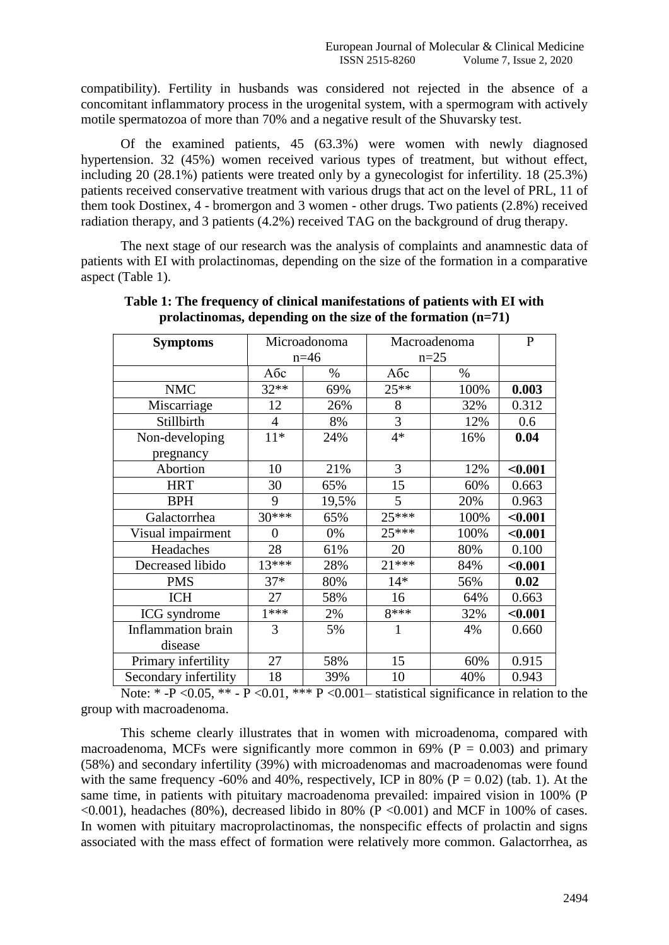compatibility). Fertility in husbands was considered not rejected in the absence of a concomitant inflammatory process in the urogenital system, with a spermogram with actively motile spermatozoa of more than 70% and a negative result of the Shuvarsky test.

Of the examined patients, 45 (63.3%) were women with newly diagnosed hypertension. 32 (45%) women received various types of treatment, but without effect, including 20 (28.1%) patients were treated only by a gynecologist for infertility. 18 (25.3%) patients received conservative treatment with various drugs that act on the level of PRL, 11 of them took Dostinex, 4 - bromergon and 3 women - other drugs. Two patients (2.8%) received radiation therapy, and 3 patients (4.2%) received TAG on the background of drug therapy.

The next stage of our research was the analysis of complaints and anamnestic data of patients with EI with prolactinomas, depending on the size of the formation in a comparative aspect (Table 1).

| <b>Symptoms</b>           | Microadonoma   |       | Macroadenoma |      | $\mathbf{P}$ |
|---------------------------|----------------|-------|--------------|------|--------------|
|                           | $n=46$         |       | $n=25$       |      |              |
|                           | Абс            | $\%$  | Aбс          | $\%$ |              |
| <b>NMC</b>                | $32**$         | 69%   | $25**$       | 100% | 0.003        |
| Miscarriage               | 12             | 26%   | 8            | 32%  | 0.312        |
| Stillbirth                | $\overline{4}$ | 8%    | 3            | 12%  | 0.6          |
| Non-developing            | $11*$          | 24%   | $4*$         | 16%  | 0.04         |
| pregnancy                 |                |       |              |      |              |
| Abortion                  | 10             | 21%   | 3            | 12%  | $0.001$      |
| <b>HRT</b>                | 30             | 65%   | 15           | 60%  | 0.663        |
| <b>BPH</b>                | 9              | 19,5% | 5            | 20%  | 0.963        |
| Galactorrhea              | 30***          | 65%   | $25***$      | 100% | $0.001$      |
| Visual impairment         | 0              | 0%    | $25***$      | 100% | $0.001$      |
| Headaches                 | 28             | 61%   | 20           | 80%  | 0.100        |
| Decreased libido          | $13***$        | 28%   | $21***$      | 84%  | $0.001$      |
| <b>PMS</b>                | $37*$          | 80%   | $14*$        | 56%  | 0.02         |
| <b>ICH</b>                | 27             | 58%   | 16           | 64%  | 0.663        |
| <b>ICG</b> syndrome       | $1***$         | 2%    | 8***         | 32%  | $0.001$      |
| <b>Inflammation</b> brain | 3              | 5%    |              | 4%   | 0.660        |
| disease                   |                |       |              |      |              |
| Primary infertility       | 27             | 58%   | 15           | 60%  | 0.915        |
| Secondary infertility     | 18             | 39%   | 10           | 40%  | 0.943        |

**Table 1: The frequency of clinical manifestations of patients with EI with prolactinomas, depending on the size of the formation (n=71)**

Note:  $*$  -P < 0.05,  $**$  - P < 0.01,  $**$  P < 0.001 – statistical significance in relation to the group with macroadenoma.

This scheme clearly illustrates that in women with microadenoma, compared with macroadenoma, MCFs were significantly more common in 69% ( $P = 0.003$ ) and primary (58%) and secondary infertility (39%) with microadenomas and macroadenomas were found with the same frequency -60% and 40%, respectively, ICP in 80% ( $P = 0.02$ ) (tab. 1). At the same time, in patients with pituitary macroadenoma prevailed: impaired vision in 100% (P  $\leq 0.001$ ), headaches (80%), decreased libido in 80% (P $\leq 0.001$ ) and MCF in 100% of cases. In women with pituitary macroprolactinomas, the nonspecific effects of prolactin and signs associated with the mass effect of formation were relatively more common. Galactorrhea, as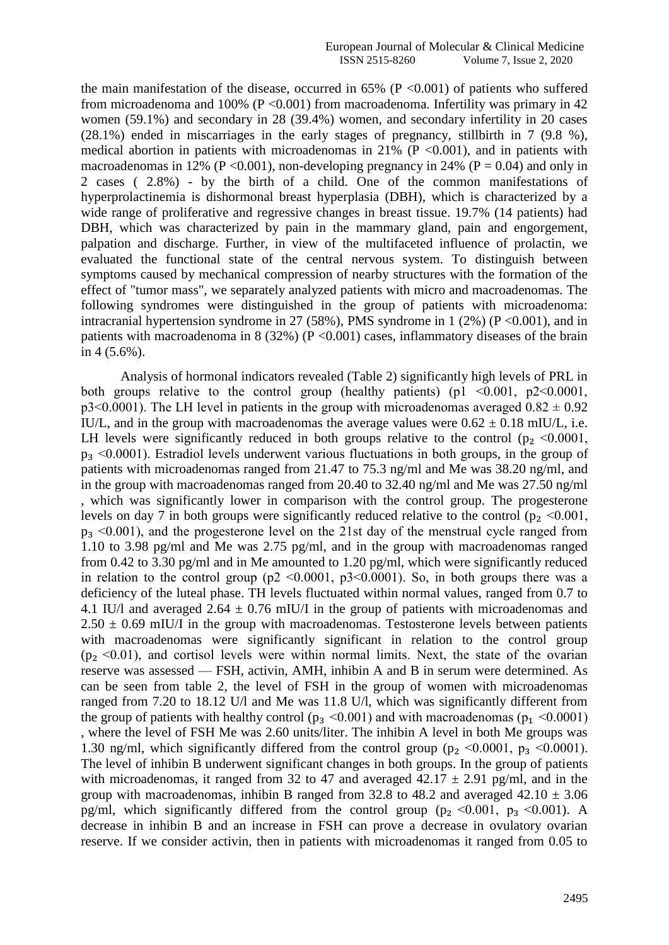the main manifestation of the disease, occurred in  $65\%$  (P <0.001) of patients who suffered from microadenoma and 100% ( $P < 0.001$ ) from macroadenoma. Infertility was primary in 42 women (59.1%) and secondary in 28 (39.4%) women, and secondary infertility in 20 cases (28.1%) ended in miscarriages in the early stages of pregnancy, stillbirth in 7 (9.8 %), medical abortion in patients with microadenomas in  $21\%$  (P <0.001), and in patients with macroadenomas in 12% (P < 0.001), non-developing pregnancy in 24% (P = 0.04) and only in 2 cases ( 2.8%) - by the birth of a child. One of the common manifestations of hyperprolactinemia is dishormonal breast hyperplasia (DBH), which is characterized by a wide range of proliferative and regressive changes in breast tissue. 19.7% (14 patients) had DBH, which was characterized by pain in the mammary gland, pain and engorgement, palpation and discharge. Further, in view of the multifaceted influence of prolactin, we evaluated the functional state of the central nervous system. To distinguish between symptoms caused by mechanical compression of nearby structures with the formation of the effect of "tumor mass", we separately analyzed patients with micro and macroadenomas. The following syndromes were distinguished in the group of patients with microadenoma: intracranial hypertension syndrome in 27 (58%), PMS syndrome in 1 (2%) ( $P \le 0.001$ ), and in patients with macroadenoma in 8 (32%) ( $P \le 0.001$ ) cases, inflammatory diseases of the brain in 4 (5.6%).

Analysis of hormonal indicators revealed (Table 2) significantly high levels of PRL in both groups relative to the control group (healthy patients) (p1  $\leq 0.001$ , p2 $\leq 0.0001$ ,  $p3<0.0001$ ). The LH level in patients in the group with microadenomas averaged  $0.82 \pm 0.92$ IU/L, and in the group with macroadenomas the average values were  $0.62 \pm 0.18$  mIU/L, i.e. LH levels were significantly reduced in both groups relative to the control  $(p_2 \le 0.0001)$ ,  $p_3 \leq 0.0001$ ). Estradiol levels underwent various fluctuations in both groups, in the group of patients with microadenomas ranged from 21.47 to 75.3 ng/ml and Me was 38.20 ng/ml, and in the group with macroadenomas ranged from 20.40 to 32.40 ng/ml and Me was 27.50 ng/ml , which was significantly lower in comparison with the control group. The progesterone levels on day 7 in both groups were significantly reduced relative to the control ( $p_2 \le 0.001$ ,  $p_3 \leq 0.001$ ), and the progesterone level on the 21st day of the menstrual cycle ranged from 1.10 to 3.98 pg/ml and Me was 2.75 pg/ml, and in the group with macroadenomas ranged from 0.42 to 3.30 pg/ml and in Me amounted to 1.20 pg/ml, which were significantly reduced in relation to the control group ( $p2 \le 0.0001$ ,  $p3 \le 0.0001$ ). So, in both groups there was a deficiency of the luteal phase. TH levels fluctuated within normal values, ranged from 0.7 to 4.1 IU/l and averaged  $2.64 \pm 0.76$  mIU/I in the group of patients with microadenomas and  $2.50 \pm 0.69$  mIU/I in the group with macroadenomas. Testosterone levels between patients with macroadenomas were significantly significant in relation to the control group  $(p_2 \le 0.01)$ , and cortisol levels were within normal limits. Next, the state of the ovarian reserve was assessed — FSH, activin, AMH, inhibin A and B in serum were determined. As can be seen from table 2, the level of FSH in the group of women with microadenomas ranged from 7.20 to 18.12 U/l and Me was 11.8 U/l, which was significantly different from the group of patients with healthy control ( $p_3 \le 0.001$ ) and with macroadenomas ( $p_1 \le 0.0001$ ) , where the level of FSH Me was 2.60 units/liter. The inhibin A level in both Me groups was 1.30 ng/ml, which significantly differed from the control group ( $p_2 \le 0.0001$ ,  $p_3 \le 0.0001$ ). The level of inhibin B underwent significant changes in both groups. In the group of patients with microadenomas, it ranged from 32 to 47 and averaged  $42.17 \pm 2.91$  pg/ml, and in the group with macroadenomas, inhibin B ranged from 32.8 to 48.2 and averaged  $42.10 \pm 3.06$ pg/ml, which significantly differed from the control group ( $p_2 \le 0.001$ ,  $p_3 \le 0.001$ ). A decrease in inhibin B and an increase in FSH can prove a decrease in ovulatory ovarian reserve. If we consider activin, then in patients with microadenomas it ranged from 0.05 to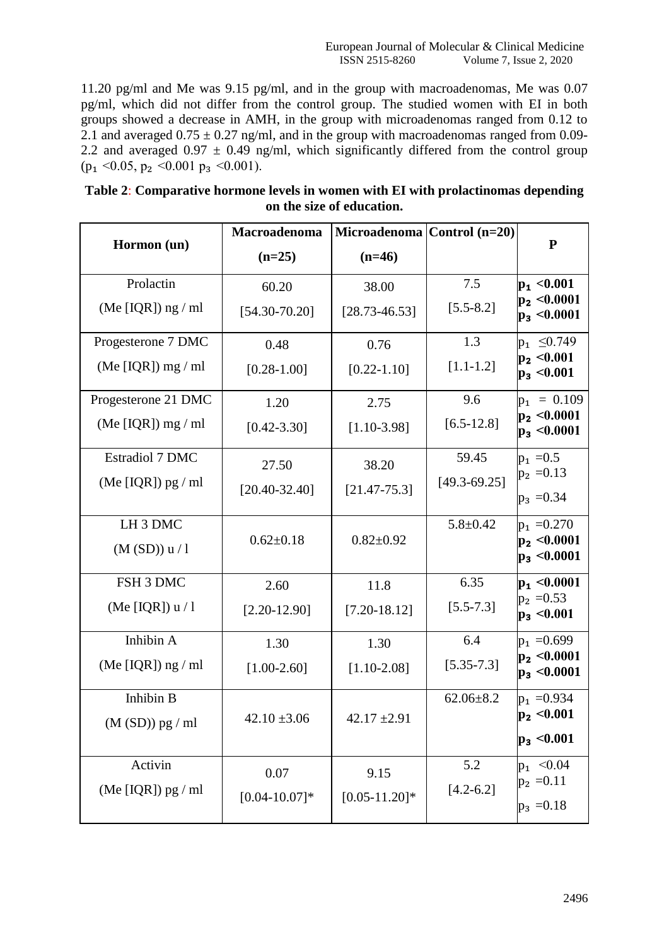11.20 pg/ml and Me was 9.15 pg/ml, and in the group with macroadenomas, Me was 0.07 pg/ml, which did not differ from the control group. The studied women with EI in both groups showed a decrease in AMH, in the group with microadenomas ranged from 0.12 to 2.1 and averaged  $0.75 \pm 0.27$  ng/ml, and in the group with macroadenomas ranged from 0.09-2.2 and averaged  $0.97 \pm 0.49$  ng/ml, which significantly differed from the control group  $(p_1 \le 0.05, p_2 \le 0.001 p_3 \le 0.001).$ 

| Table 2: Comparative hormone levels in women with EI with prolactinomas depending |
|-----------------------------------------------------------------------------------|
| on the size of education.                                                         |

|                        | Macroadenoma      | Microadenoma   Control (n=20) |                  | ${\bf P}$                            |
|------------------------|-------------------|-------------------------------|------------------|--------------------------------------|
| Hormon (un)            | $(n=25)$          | $(n=46)$                      |                  |                                      |
| Prolactin              | 60.20             | 38.00                         | 7.5              | $ p_1 $ < 0.001                      |
| (Me [IQR]) $ng$ / ml   | $[54.30 - 70.20]$ | $[28.73 - 46.53]$             | $[5.5 - 8.2]$    | $ p_2 $ < 0.0001<br>$p_3$ < 0.0001   |
| Progesterone 7 DMC     | 0.48              | 0.76                          | 1.3              | $p_1 \le 0.749$                      |
| (Me [IQR]) $mg / ml$   | $[0.28 - 1.00]$   | $[0.22 - 1.10]$               | $[1.1 - 1.2]$    | $p_2 < 0.001$<br>$p_3 < 0.001$       |
| Progesterone 21 DMC    | 1.20              | 2.75                          | 9.6              | $p_1 = 0.109$                        |
| (Me [IQR]) $mg / ml$   | $[0.42 - 3.30]$   | $[1.10-3.98]$                 | $[6.5 - 12.8]$   | $ p_2 $ < 0.0001<br>$p_3 < 0.0001$   |
| <b>Estradiol 7 DMC</b> | 27.50             | 38.20                         | 59.45            | $p_1 = 0.5$                          |
| (Me [IQR]) $pg$ / ml   | $[20.40 - 32.40]$ | $[21.47 - 75.3]$              | $[49.3 - 69.25]$ | $p_2 = 0.13$                         |
|                        |                   |                               |                  | $p_3 = 0.34$                         |
| LH <sub>3</sub> DMC    |                   |                               | $5.8 \pm 0.42$   | $p_1 = 0.270$                        |
| (M (SD)) u / 1         | $0.62 \pm 0.18$   | $0.82 \pm 0.92$               |                  | $ p_2 $ < 0.0001<br>$ p_3 $ < 0.0001 |
| FSH 3 DMC              | 2.60              | 11.8                          | 6.35             | $p_1$ <0.0001                        |
| (Me [IQR]) $u/1$       | $[2.20 - 12.90]$  | $[7.20 - 18.12]$              | $[5.5 - 7.3]$    | $p_2 = 0.53$<br>$ p_3 $ < 0.001      |
| Inhibin A              | 1.30              | 1.30                          | 6.4              | $p_1 = 0.699$                        |
| (Me [IQR]) $ng$ / ml   | $[1.00-2.60]$     | $[1.10 - 2.08]$               | $[5.35 - 7.3]$   | $p_2 < 0.0001$<br>$p_3 < 0.0001$     |
| Inhibin B              |                   |                               | $62.06 \pm 8.2$  | $p_1 = 0.934$                        |
| $(M (SD))$ pg / ml     | $42.10 \pm 3.06$  | $42.17 \pm 2.91$              |                  | $p_2 < 0.001$                        |
|                        |                   |                               |                  | $p_3$ < 0.001                        |
| Activin                | 0.07              | 9.15                          | 5.2              | $p_1 \le 0.04$                       |
| (Me [IQR]) $pg / ml$   | $[0.04 - 10.07]*$ | $[0.05 - 11.20]$ *            | $[4.2 - 6.2]$    | $p_2 = 0.11$                         |
|                        |                   |                               |                  | $p_3 = 0.18$                         |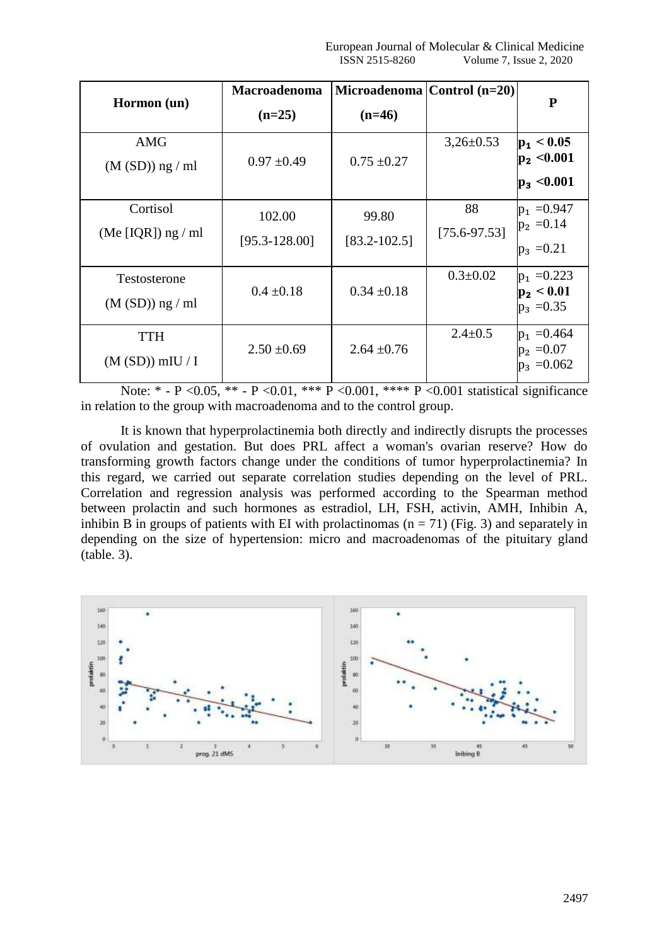| Hormon (un)                        | Macroadenoma<br>$(n=25)$    | Microadenoma   Control (n=20)<br>$(n=46)$ |                        | P                                                  |
|------------------------------------|-----------------------------|-------------------------------------------|------------------------|----------------------------------------------------|
| <b>AMG</b><br>$(M (SD))$ ng / ml   | $0.97 \pm 0.49$             | $0.75 \pm 0.27$                           | $3,26\pm0.53$          | $ p_1 $ < 0.05<br>$p_2 < 0.001$<br>$ p_3 $ < 0.001 |
| Cortisol<br>(Me [IQR]) $ng$ / ml   | 102.00<br>$[95.3 - 128.00]$ | 99.80<br>$[83.2 - 102.5]$                 | 88<br>$[75.6 - 97.53]$ | $p_1 = 0.947$<br>$p_2 = 0.14$<br>$p_3 = 0.21$      |
| Testosterone<br>$(M (SD))$ ng / ml | $0.4 \pm 0.18$              | $0.34 \pm 0.18$                           | $0.3 \pm 0.02$         | $p_1 = 0.223$<br>$p_2 < 0.01$<br>$p_3 = 0.35$      |
| <b>TTH</b><br>$(M (SD))$ mIU / I   | $2.50 \pm 0.69$             | $2.64 \pm 0.76$                           | $2.4 \pm 0.5$          | $p_1 = 0.464$<br>$ p_2  = 0.07$<br>$p_3 = 0.062$   |

Note: \* - P < 0.05, \*\* - P < 0.01, \*\*\* P < 0.001, \*\*\* P < 0.001 statistical significance in relation to the group with macroadenoma and to the control group.

It is known that hyperprolactinemia both directly and indirectly disrupts the processes of ovulation and gestation. But does PRL affect a woman's ovarian reserve? How do transforming growth factors change under the conditions of tumor hyperprolactinemia? In this regard, we carried out separate correlation studies depending on the level of PRL. Correlation and regression analysis was performed according to the Spearman method between prolactin and such hormones as estradiol, LH, FSH, activin, AMH, Inhibin A, inhibin B in groups of patients with EI with prolactinomas  $(n = 71)$  (Fig. 3) and separately in depending on the size of hypertension: micro and macroadenomas of the pituitary gland (table. 3).

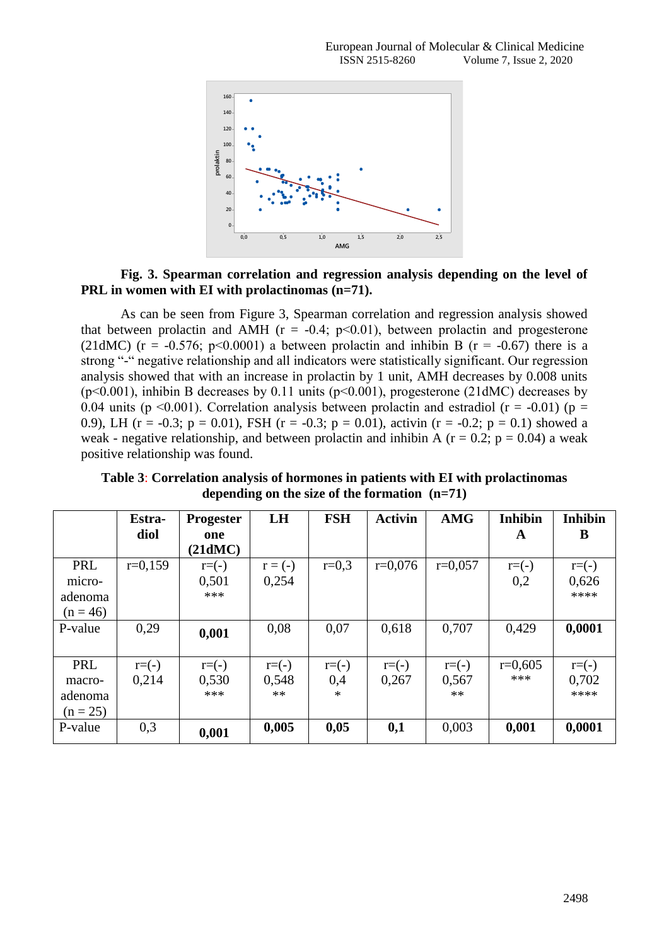

## **Fig. 3. Spearman correlation and regression analysis depending on the level of PRL in women with EI with prolactinomas (n=71).**

As can be seen from Figure 3, Spearman correlation and regression analysis showed that between prolactin and AMH ( $r = -0.4$ ;  $p < 0.01$ ), between prolactin and progesterone (21dMC) ( $r = -0.576$ ; p<0.0001) a between prolactin and inhibin B ( $r = -0.67$ ) there is a strong "-" negative relationship and all indicators were statistically significant. Our regression analysis showed that with an increase in prolactin by 1 unit, AMH decreases by 0.008 units  $(p<0.001)$ , inhibin B decreases by 0.11 units  $(p<0.001)$ , progesterone (21dMC) decreases by 0.04 units ( $p \le 0.001$ ). Correlation analysis between prolactin and estradiol ( $r = -0.01$ ) ( $p =$ 0.9), LH (r = -0.3; p = 0.01), FSH (r = -0.3; p = 0.01), activin (r = -0.2; p = 0.1) showed a weak - negative relationship, and between prolactin and inhibin A ( $r = 0.2$ ;  $p = 0.04$ ) a weak positive relationship was found.

**Table 3**: **Correlation analysis of hormones in patients with EI with prolactinomas depending on the size of the formation (n=71)**

|            | Estra-    | <b>Progester</b> | LH        | <b>FSH</b> | <b>Activin</b> | <b>AMG</b> | <b>Inhibin</b> | <b>Inhibin</b> |
|------------|-----------|------------------|-----------|------------|----------------|------------|----------------|----------------|
|            | diol      | one              |           |            |                |            | A              | B              |
|            |           | (21dMC)          |           |            |                |            |                |                |
| PRL        | $r=0,159$ | $r = (-)$        | $r = (-)$ | $r=0,3$    | $r=0,076$      | $r=0,057$  | $r = (-)$      | $r = (-)$      |
| micro-     |           | 0,501            | 0,254     |            |                |            | 0,2            | 0,626          |
| adenoma    |           | ***              |           |            |                |            |                | ****           |
| $(n = 46)$ |           |                  |           |            |                |            |                |                |
| P-value    | 0,29      | 0,001            | 0,08      | 0,07       | 0,618          | 0,707      | 0,429          | 0,0001         |
|            |           |                  |           |            |                |            |                |                |
| PRL        | $r = (-)$ | $r = (-)$        | $r = (-)$ | $r = (-)$  | $r = (-)$      | $r = (-)$  | $r=0,605$      | $r = (-)$      |
| macro-     | 0,214     | 0,530            | 0,548     | 0,4        | 0,267          | 0,567      | ***            | 0,702          |
| adenoma    |           | ***              | $**$      | $\ast$     |                | $**$       |                | ****           |
| $(n = 25)$ |           |                  |           |            |                |            |                |                |
| P-value    | 0,3       | 0,001            | 0,005     | 0,05       | 0,1            | 0,003      | 0,001          | 0,0001         |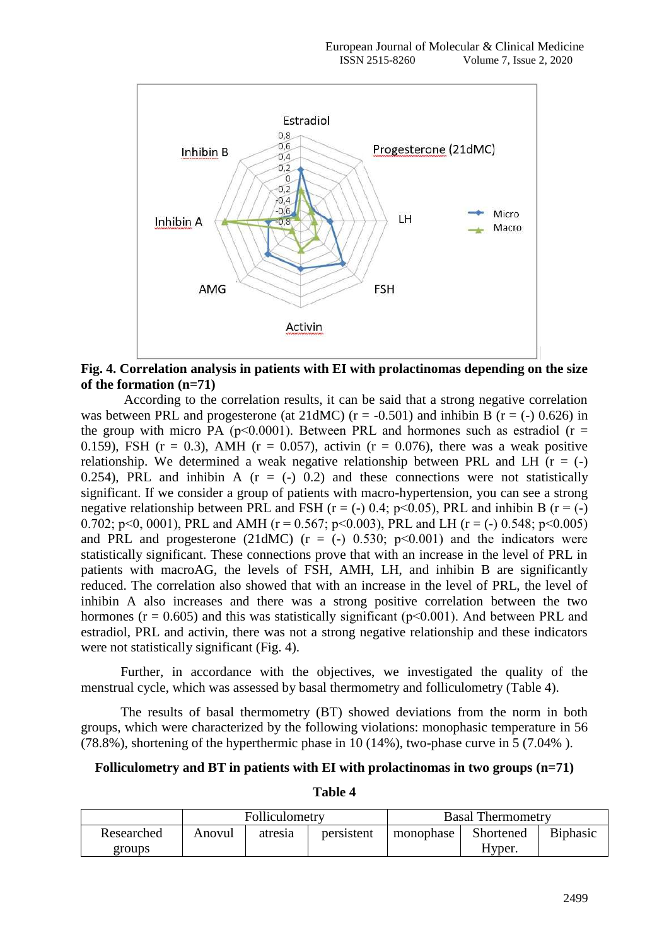

**Fig. 4. Correlation analysis in patients with EI with prolactinomas depending on the size of the formation (n=71)**

According to the correlation results, it can be said that a strong negative correlation was between PRL and progesterone (at 21dMC) ( $r = -0.501$ ) and inhibin B ( $r = (-0.626)$ ) in the group with micro PA ( $p<0.0001$ ). Between PRL and hormones such as estradiol ( $r =$ 0.159), FSH ( $r = 0.3$ ), AMH ( $r = 0.057$ ), activin ( $r = 0.076$ ), there was a weak positive relationship. We determined a weak negative relationship between PRL and LH  $(r = (-)$ 0.254), PRL and inhibin A  $(r = (-) 0.2)$  and these connections were not statistically significant. If we consider a group of patients with macro-hypertension, you can see a strong negative relationship between PRL and FSH ( $r = (-)$ ) 0.4; p<0.05), PRL and inhibin B ( $r = (-)$ ) 0.702; p<0, 0001), PRL and AMH ( $r = 0.567$ ; p<0.003), PRL and LH ( $r = (-) 0.548$ ; p<0.005) and PRL and progesterone (21dMC) ( $r = (-)$  0.530; p $\leq$ 0.001) and the indicators were statistically significant. These connections prove that with an increase in the level of PRL in patients with macroAG, the levels of FSH, AMH, LH, and inhibin B are significantly reduced. The correlation also showed that with an increase in the level of PRL, the level of inhibin A also increases and there was a strong positive correlation between the two hormones ( $r = 0.605$ ) and this was statistically significant ( $p < 0.001$ ). And between PRL and estradiol, PRL and activin, there was not a strong negative relationship and these indicators were not statistically significant (Fig. 4).

Further, in accordance with the objectives, we investigated the quality of the menstrual cycle, which was assessed by basal thermometry and folliculometry (Table 4).

The results of basal thermometry (BT) showed deviations from the norm in both groups, which were characterized by the following violations: monophasic temperature in 56 (78.8%), shortening of the hyperthermic phase in 10 (14%), two-phase curve in 5 (7.04% ).

## **Folliculometry and BT in patients with EI with prolactinomas in two groups (n=71)**

| l'able |  |
|--------|--|
|--------|--|

|            | Folliculometry                               |  |           |           | <b>Basal Thermometry</b> |  |
|------------|----------------------------------------------|--|-----------|-----------|--------------------------|--|
| Researched | persistent<br>Anovul<br>atres <sub>1</sub> a |  | monophase | Shortened | <b>B</b> iphasic         |  |
| groups.    |                                              |  |           |           | Hyper.                   |  |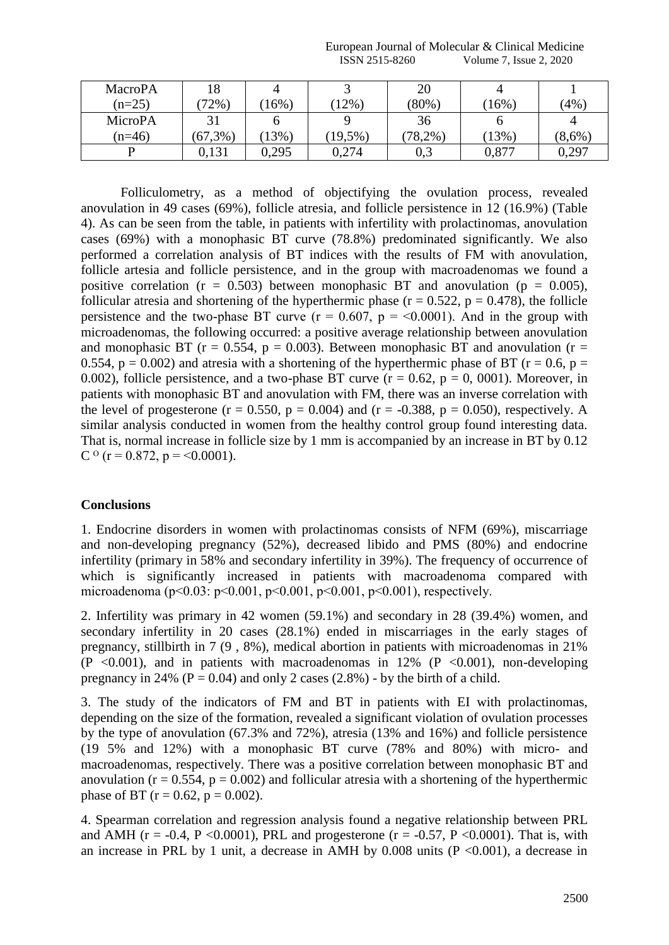| European Journal of<br><b>Molecular</b> | $\sim$<br>Medicine<br>Annical:                  |
|-----------------------------------------|-------------------------------------------------|
| -8260<br>SSN<br>.<br>LU U.              | 2020<br>V olume<br><i><b>Issue</b></i><br>----- |

| <b>MacroPA</b> | 18          | 4       |            | 20       |          |           |
|----------------|-------------|---------|------------|----------|----------|-----------|
| $(n=25)$       | $72\%$      | $6\%$   | 2%         | $(80\%)$ | 16%      | (4%       |
| MicroPA        |             |         |            | 36       |          | 4         |
| $(n=46)$       | $(67, 3\%)$ | $13\%)$ | $(19,5\%)$ | $78,2\%$ | $(13\%)$ | $(8,6\%)$ |
|                | 0.131       | 0,295   | 0,274      | 0,3      | 0,877    | 0,297     |

Folliculometry, as a method of objectifying the ovulation process, revealed anovulation in 49 cases (69%), follicle atresia, and follicle persistence in 12 (16.9%) (Table 4). As can be seen from the table, in patients with infertility with prolactinomas, anovulation cases (69%) with a monophasic BT curve (78.8%) predominated significantly. We also performed a correlation analysis of BT indices with the results of FM with anovulation, follicle artesia and follicle persistence, and in the group with macroadenomas we found a positive correlation ( $r = 0.503$ ) between monophasic BT and anovulation ( $p = 0.005$ ), follicular atresia and shortening of the hyperthermic phase ( $r = 0.522$ ,  $p = 0.478$ ), the follicle persistence and the two-phase BT curve  $(r = 0.607, p = 0.0001)$ . And in the group with microadenomas, the following occurred: a positive average relationship between anovulation and monophasic BT ( $r = 0.554$ ,  $p = 0.003$ ). Between monophasic BT and anovulation ( $r =$ 0.554,  $p = 0.002$ ) and atresia with a shortening of the hyperthermic phase of BT ( $r = 0.6$ ,  $p =$ 0.002), follicle persistence, and a two-phase BT curve  $(r = 0.62, p = 0, 0001)$ . Moreover, in patients with monophasic BT and anovulation with FM, there was an inverse correlation with the level of progesterone ( $r = 0.550$ ,  $p = 0.004$ ) and ( $r = -0.388$ ,  $p = 0.050$ ), respectively. A similar analysis conducted in women from the healthy control group found interesting data. That is, normal increase in follicle size by 1 mm is accompanied by an increase in BT by 0.12 C  $\degree$  (r = 0.872, p = <0.0001).

### **Conclusions**

1. Endocrine disorders in women with prolactinomas consists of NFM (69%), miscarriage and non-developing pregnancy (52%), decreased libido and PMS (80%) and endocrine infertility (primary in 58% and secondary infertility in 39%). The frequency of occurrence of which is significantly increased in patients with macroadenoma compared with microadenoma (p˂0.03: p˂0.001, p˂0.001, p˂0.001, p˂0.001), respectively.

2. Infertility was primary in 42 women (59.1%) and secondary in 28 (39.4%) women, and secondary infertility in 20 cases (28.1%) ended in miscarriages in the early stages of pregnancy, stillbirth in 7 (9 , 8%), medical abortion in patients with microadenomas in 21%  $(P \le 0.001)$ , and in patients with macroadenomas in 12% (P  $\le 0.001$ ), non-developing pregnancy in 24% ( $P = 0.04$ ) and only 2 cases (2.8%) - by the birth of a child.

3. The study of the indicators of FM and BT in patients with EI with prolactinomas, depending on the size of the formation, revealed a significant violation of ovulation processes by the type of anovulation (67.3% and 72%), atresia (13% and 16%) and follicle persistence (19 5% and 12%) with a monophasic BT curve (78% and 80%) with micro- and macroadenomas, respectively. There was a positive correlation between monophasic BT and anovulation ( $r = 0.554$ ,  $p = 0.002$ ) and follicular atresia with a shortening of the hyperthermic phase of BT ( $r = 0.62$ ,  $p = 0.002$ ).

4. Spearman correlation and regression analysis found a negative relationship between PRL and AMH ( $r = -0.4$ ,  $P \le 0.0001$ ), PRL and progesterone ( $r = -0.57$ ,  $P \le 0.0001$ ). That is, with an increase in PRL by 1 unit, a decrease in AMH by  $0.008$  units (P <0.001), a decrease in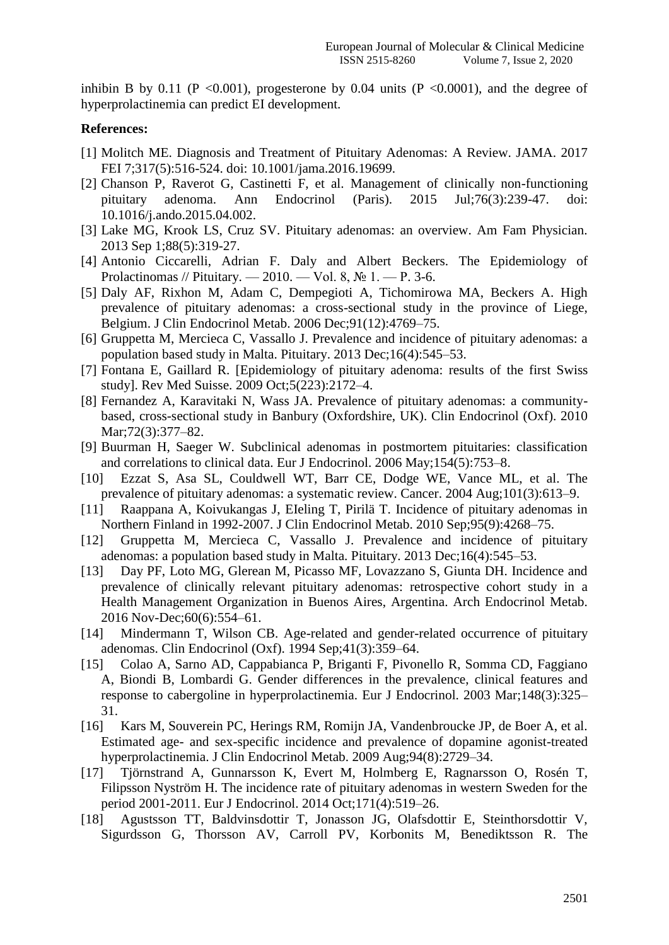inhibin B by 0.11 (P <0.001), progesterone by 0.04 units (P <0.0001), and the degree of hyperprolactinemia can predict EI development.

#### **References:**

- [1] Molitch ME. Diagnosis and Treatment of Pituitary Adenomas: A Review. JAMA. 2017 FEI 7;317(5):516-524. doi: 10.1001/jama.2016.19699.
- [2] Chanson P, Raverot G, Castinetti F, et al. Management of clinically non-functioning pituitary adenoma. Ann Endocrinol (Paris). 2015 Jul;76(3):239-47. doi: 10.1016/j.ando.2015.04.002.
- [3] Lake MG, Krook LS, Cruz SV. Pituitary adenomas: an overview. Am Fam Physician. 2013 Sep 1;88(5):319-27.
- [4] Antonio Ciccarelli, Adrian F. Daly and Albert Beckers. The Epidemiology of Prolactinomas // Pituitary. — 2010. — Vol. 8, № 1. — Р. 3-6.
- [5] Daly AF, Rixhon M, Adam C, Dempegioti A, Tichomirowa MA, Beckers A. High prevalence of pituitary adenomas: a cross-sectional study in the province of Liege, Belgium. J Clin Endocrinol Metab. 2006 Dec;91(12):4769–75.
- [6] Gruppetta M, Mercieca C, Vassallo J. Prevalence and incidence of pituitary adenomas: a population based study in Malta. Pituitary. 2013 Dec;16(4):545–53.
- [7] Fontana E, Gaillard R. [Epidemiology of pituitary adenoma: results of the first Swiss study]. Rev Med Suisse. 2009 Oct;5(223):2172–4.
- [8] Fernandez A, Karavitaki N, Wass JA. Prevalence of pituitary adenomas: a communitybased, cross-sectional study in Banbury (Oxfordshire, UK). Clin Endocrinol (Oxf). 2010 Mar;72(3):377–82.
- [9] Buurman H, Saeger W. Subclinical adenomas in postmortem pituitaries: classification and correlations to clinical data. Eur J Endocrinol. 2006 May;154(5):753–8.
- [10] Ezzat S, Asa SL, Couldwell WT, Barr CE, Dodge WE, Vance ML, et al. The prevalence of pituitary adenomas: a systematic review. Cancer. 2004 Aug;101(3):613–9.
- [11] Raappana A, Koivukangas J, EIeling T, Pirilä T. Incidence of pituitary adenomas in Northern Finland in 1992-2007. J Clin Endocrinol Metab. 2010 Sep;95(9):4268–75.
- [12] Gruppetta M, Mercieca C, Vassallo J. Prevalence and incidence of pituitary adenomas: a population based study in Malta. Pituitary. 2013 Dec;16(4):545–53.
- [13] Day PF, Loto MG, Glerean M, Picasso MF, Lovazzano S, Giunta DH. Incidence and prevalence of clinically relevant pituitary adenomas: retrospective cohort study in a Health Management Organization in Buenos Aires, Argentina. Arch Endocrinol Metab. 2016 Nov-Dec;60(6):554–61.
- [14] Mindermann T, Wilson CB. Age-related and gender-related occurrence of pituitary adenomas. Clin Endocrinol (Oxf). 1994 Sep;41(3):359–64.
- [15] Colao A, Sarno AD, Cappabianca P, Briganti F, Pivonello R, Somma CD, Faggiano A, Biondi B, Lombardi G. Gender differences in the prevalence, clinical features and response to cabergoline in hyperprolactinemia. Eur J Endocrinol. 2003 Mar;148(3):325– 31.
- [16] Kars M, Souverein PC, Herings RM, Romijn JA, Vandenbroucke JP, de Boer A, et al. Estimated age- and sex-specific incidence and prevalence of dopamine agonist-treated hyperprolactinemia. J Clin Endocrinol Metab. 2009 Aug;94(8):2729–34.
- [17] Tjörnstrand A, Gunnarsson K, Evert M, Holmberg E, Ragnarsson O, Rosén T, Filipsson Nyström H. The incidence rate of pituitary adenomas in western Sweden for the period 2001-2011. Eur J Endocrinol. 2014 Oct;171(4):519–26.
- [18] Agustsson TT, Baldvinsdottir T, Jonasson JG, Olafsdottir E, Steinthorsdottir V, Sigurdsson G, Thorsson AV, Carroll PV, Korbonits M, Benediktsson R. The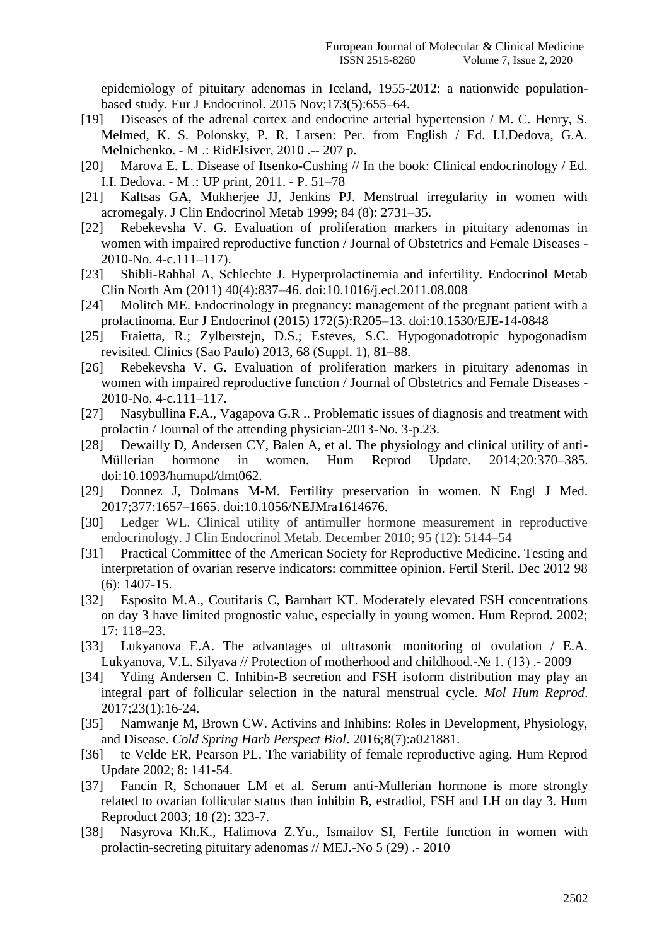epidemiology of pituitary adenomas in Iceland, 1955-2012: a nationwide populationbased study. Eur J Endocrinol. 2015 Nov;173(5):655–64.

- [19] Diseases of the adrenal cortex and endocrine arterial hypertension / M. C. Henry, S. Melmed, K. S. Polonsky, P. R. Larsen: Per. from English / Ed. I.I.Dedova, G.A. Melnichenko. - M .: RidElsiver, 2010 .-- 207 p.
- [20] Marova E. L. Disease of Itsenko-Cushing // In the book: Clinical endocrinology / Ed. I.I. Dedova. - M .: UP print, 2011. - P. 51–78
- [21] Kaltsas GA, Mukherjee JJ, Jenkins PJ. Menstrual irregularity in women with acromegaly. J Clin Endocrinol Metab 1999; 84 (8): 2731–35.
- [22] Rebekevsha V. G. Evaluation of proliferation markers in pituitary adenomas in women with impaired reproductive function / Journal of Obstetrics and Female Diseases - 2010-No. 4-c.111–117).
- [23] Shibli-Rahhal A, Schlechte J. Hyperprolactinemia and infertility. Endocrinol Metab Clin North Am (2011) 40(4):837–46. doi:10.1016/j.ecl.2011.08.008
- [24] Molitch ME. Endocrinology in pregnancy: management of the pregnant patient with a prolactinoma. Eur J Endocrinol (2015) 172(5):R205–13. doi:10.1530/EJE-14-0848
- [25] Fraietta, R.; Zylberstejn, D.S.; Esteves, S.C. Hypogonadotropic hypogonadism revisited. Clinics (Sao Paulo) 2013, 68 (Suppl. 1), 81–88.
- [26] Rebekevsha V. G. Evaluation of proliferation markers in pituitary adenomas in women with impaired reproductive function / Journal of Obstetrics and Female Diseases - 2010-No. 4-c.111–117.
- [27] Nasybullina F.A., Vagapova G.R .. Problematic issues of diagnosis and treatment with prolactin / Journal of the attending physician-2013-No. 3-p.23.
- [28] Dewailly D, Andersen CY, Balen A, et al. The physiology and clinical utility of anti-Müllerian hormone in women. Hum Reprod Update. 2014;20:370–385. doi:10.1093/humupd/dmt062.
- [29] Donnez J, Dolmans M-M. Fertility preservation in women. N Engl J Med. 2017;377:1657–1665. doi:10.1056/NEJMra1614676.
- [30] Ledger WL. Clinical utility of antimuller hormone measurement in reproductive endocrinology. J Clin Endocrinol Metab. December 2010; 95 (12): 5144–54
- [31] Practical Committee of the American Society for Reproductive Medicine. Testing and interpretation of ovarian reserve indicators: committee opinion. Fertil Steril. Dec 2012 98 (6): 1407-15.
- [32] Esposito M.A., Coutifaris C, Barnhart KT. Moderately elevated FSH concentrations on day 3 have limited prognostic value, especially in young women. Hum Reprod. 2002; 17: 118–23.
- [33] Lukyanova E.A. The advantages of ultrasonic monitoring of ovulation / E.A. Lukyanova, V.L. Silyava // Protection of motherhood and childhood.- $\mathcal{N}$  1. (13) .- 2009
- [34] Yding Andersen C. Inhibin-B secretion and FSH isoform distribution may play an integral part of follicular selection in the natural menstrual cycle. *Mol Hum Reprod*. 2017;23(1):16-24.
- [35] Namwanje M, Brown CW. Activins and Inhibins: Roles in Development, Physiology, and Disease. *Cold Spring Harb Perspect Biol*. 2016;8(7):a021881.
- [36] te Velde ER, Pearson PL. The variability of female reproductive aging. Hum Reprod Update 2002; 8: 141-54.
- [37] Fancin R, Schonauer LM et al. Serum anti-Mullerian hormone is more strongly related to ovarian follicular status than inhibin B, estradiol, FSH and LH on day 3. Hum Reproduct 2003; 18 (2): 323-7.
- [38] Nasyrova Kh.K., Halimova Z.Yu., Ismailov SI, Fertile function in women with prolactin-secreting pituitary adenomas // MEJ.-No 5 (29) .- 2010